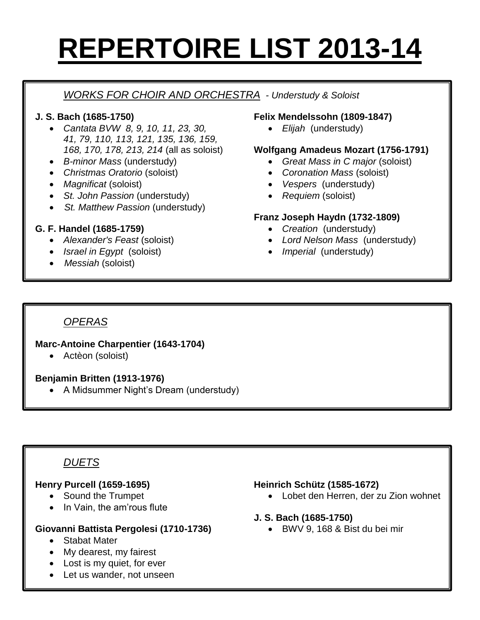# **REPERTOIRE LIST 2013-14**

# *WORKS FOR CHOIR AND ORCHESTRA - Understudy & Soloist*

#### **J. S. Bach (1685-1750)**

- *Cantata BVW 8, 9, 10, 11, 23, 30, 41, 79, 110, 113, 121, 135, 136, 159, 168, 170, 178, 213, 214* (all as soloist)
- *B-minor Mass* (understudy)
- *Christmas Oratorio* (soloist)
- *Magnificat* (soloist)
- *St. John Passion* (understudy)
- *St. Matthew Passion* (understudy)

### **G. F. Handel (1685-1759)**

- *Alexander's Feast* (soloist)
- *Israel in Egypt* (soloist)
- *Messiah* (soloist)

#### **Felix Mendelssohn (1809-1847)**

*Elijah* (understudy)

#### **Wolfgang Amadeus Mozart (1756-1791)**

- *Great Mass in C major* (soloist)
- *Coronation Mass* (soloist)
- *Vespers* (understudy)
- *Requiem* (soloist)

#### **Franz Joseph Haydn (1732-1809)**

- *Creation* (understudy)
- *Lord Nelson Mass* (understudy)
- *Imperial* (understudy)

# *OPERAS*

# **Marc-Antoine Charpentier (1643-1704)**

Actèon (soloist)

### **Benjamin Britten (1913-1976)**

A Midsummer Night's Dream (understudy)

# *DUETS*

### **Henry Purcell (1659-1695)**

- Sound the Trumpet
- In Vain, the am'rous flute

### **Giovanni Battista Pergolesi (1710-1736)**

- Stabat Mater
- My dearest, my fairest
- Lost is my quiet, for ever
- Let us wander, not unseen

#### **Heinrich Schütz (1585-1672)**

Lobet den Herren, der zu Zion wohnet

#### **J. S. Bach (1685-1750)**

BWV 9, 168 & Bist du bei mir